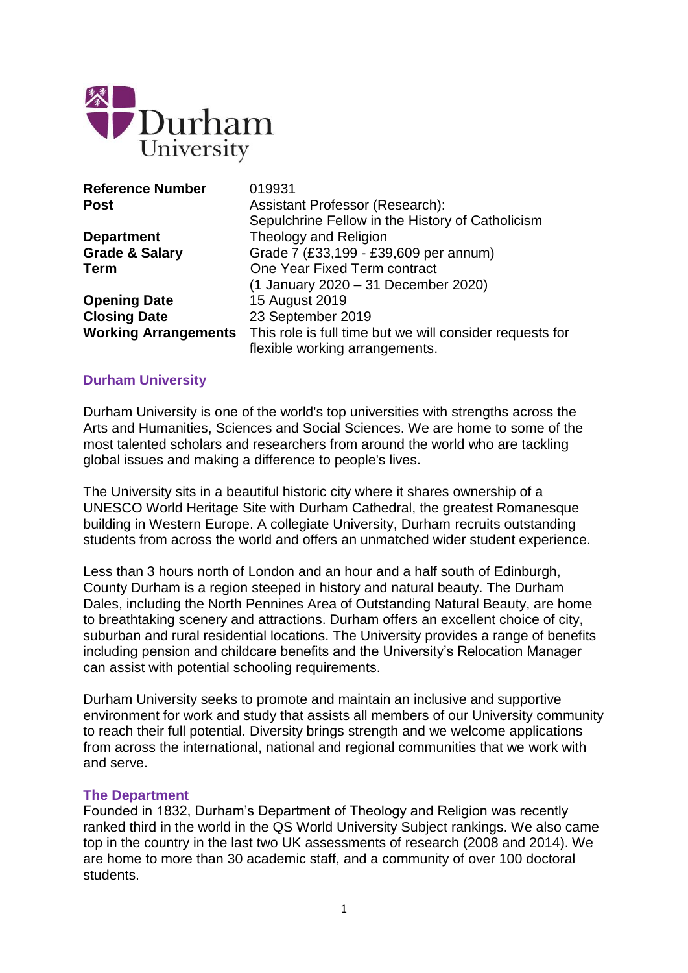

| <b>Reference Number</b>   | 019931                                                                        |
|---------------------------|-------------------------------------------------------------------------------|
| Post                      | <b>Assistant Professor (Research):</b>                                        |
|                           | Sepulchrine Fellow in the History of Catholicism                              |
| <b>Department</b>         | <b>Theology and Religion</b>                                                  |
| <b>Grade &amp; Salary</b> | Grade 7 (£33,199 - £39,609 per annum)                                         |
| Term                      | One Year Fixed Term contract                                                  |
|                           | (1 January 2020 - 31 December 2020)                                           |
| <b>Opening Date</b>       | 15 August 2019                                                                |
| <b>Closing Date</b>       | 23 September 2019                                                             |
|                           | Working Arrangements This role is full time but we will consider requests for |
|                           | flexible working arrangements.                                                |

#### **Durham University**

Durham University is one of the world's top universities with strengths across the Arts and Humanities, Sciences and Social Sciences. We are home to some of the most talented scholars and researchers from around the world who are tackling global issues and making a difference to people's lives.

The University sits in a beautiful historic city where it shares ownership of a UNESCO World Heritage Site with Durham Cathedral, the greatest Romanesque building in Western Europe. A collegiate University, Durham recruits outstanding students from across the world and offers an unmatched wider student experience.

Less than 3 hours north of London and an hour and a half south of Edinburgh, County Durham is a region steeped in history and natural beauty. The Durham Dales, including the North Pennines Area of Outstanding Natural Beauty, are home to breathtaking scenery and attractions. Durham offers an excellent choice of city, suburban and rural residential locations. The University provides a range of benefits including pension and childcare benefits and the University's Relocation Manager can assist with potential schooling requirements.

Durham University seeks to promote and maintain an inclusive and supportive environment for work and study that assists all members of our University community to reach their full potential. Diversity brings strength and we welcome applications from across the international, national and regional communities that we work with and serve.

#### **The Department**

Founded in 1832, Durham's Department of Theology and Religion was recently ranked third in the world in the QS World University Subject rankings. We also came top in the country in the last two UK assessments of research (2008 and 2014). We are home to more than 30 academic staff, and a community of over 100 doctoral students.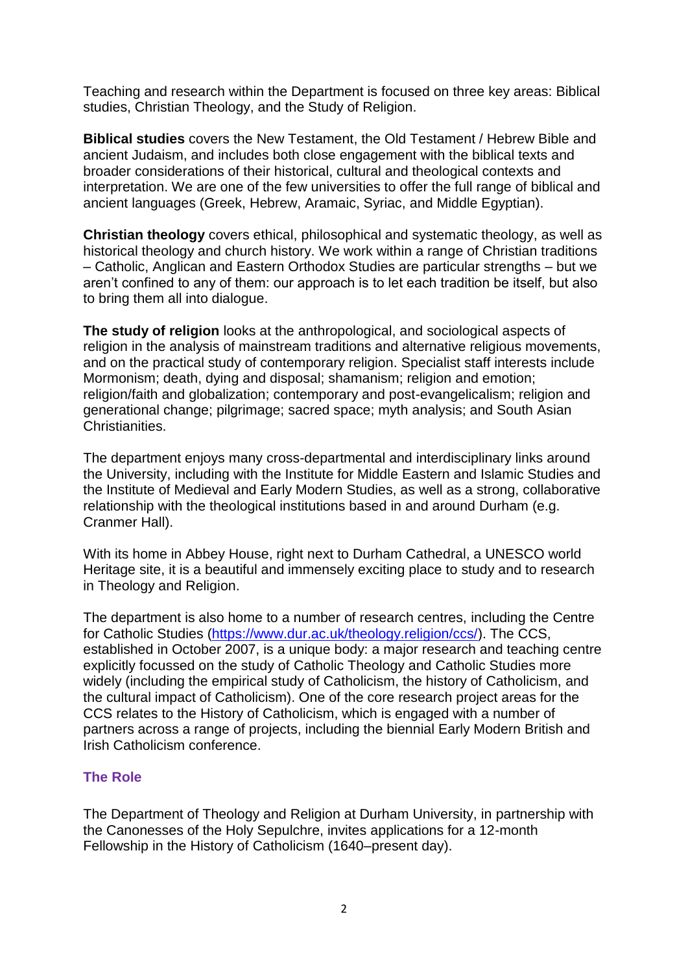Teaching and research within the Department is focused on three key areas: Biblical studies, Christian Theology, and the Study of Religion.

**Biblical studies** covers the New Testament, the Old Testament / Hebrew Bible and ancient Judaism, and includes both close engagement with the biblical texts and broader considerations of their historical, cultural and theological contexts and interpretation. We are one of the few universities to offer the full range of biblical and ancient languages (Greek, Hebrew, Aramaic, Syriac, and Middle Egyptian).

**Christian theology** covers ethical, philosophical and systematic theology, as well as historical theology and church history. We work within a range of Christian traditions – Catholic, Anglican and Eastern Orthodox Studies are particular strengths – but we aren't confined to any of them: our approach is to let each tradition be itself, but also to bring them all into dialogue.

**The study of religion** looks at the anthropological, and sociological aspects of religion in the analysis of mainstream traditions and alternative religious movements, and on the practical study of contemporary religion. Specialist staff interests include Mormonism; death, dying and disposal; shamanism; religion and emotion; religion/faith and globalization; contemporary and post-evangelicalism; religion and generational change; pilgrimage; sacred space; myth analysis; and South Asian Christianities.

The department enjoys many cross-departmental and interdisciplinary links around the University, including with the Institute for Middle Eastern and Islamic Studies and the Institute of Medieval and Early Modern Studies, as well as a strong, collaborative relationship with the theological institutions based in and around Durham (e.g. Cranmer Hall).

With its home in Abbey House, right next to Durham Cathedral, a UNESCO world Heritage site, it is a beautiful and immensely exciting place to study and to research in Theology and Religion.

The department is also home to a number of research centres, including the Centre for Catholic Studies [\(https://www.dur.ac.uk/theology.religion/ccs/\)](https://www.dur.ac.uk/theology.religion/ccs/). The CCS, established in October 2007, is a unique body: a major research and teaching centre explicitly focussed on the study of Catholic Theology and Catholic Studies more widely (including the empirical study of Catholicism, the history of Catholicism, and the cultural impact of Catholicism). One of the core research project areas for the CCS relates to the History of Catholicism, which is engaged with a number of partners across a range of projects, including the biennial Early Modern British and Irish Catholicism conference.

# **The Role**

The Department of Theology and Religion at Durham University, in partnership with the Canonesses of the Holy Sepulchre, invites applications for a 12-month Fellowship in the History of Catholicism (1640–present day).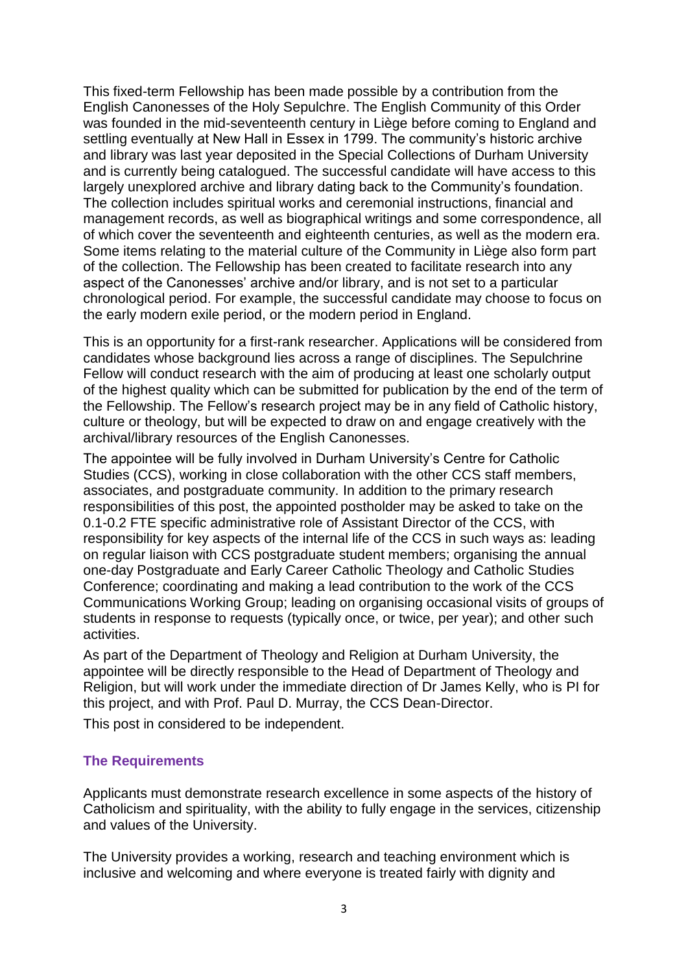This fixed-term Fellowship has been made possible by a contribution from the English Canonesses of the Holy Sepulchre. The English Community of this Order was founded in the mid-seventeenth century in Liège before coming to England and settling eventually at New Hall in Essex in 1799. The community's historic archive and library was last year deposited in the Special Collections of Durham University and is currently being catalogued. The successful candidate will have access to this largely unexplored archive and library dating back to the Community's foundation. The collection includes spiritual works and ceremonial instructions, financial and management records, as well as biographical writings and some correspondence, all of which cover the seventeenth and eighteenth centuries, as well as the modern era. Some items relating to the material culture of the Community in Liège also form part of the collection. The Fellowship has been created to facilitate research into any aspect of the Canonesses' archive and/or library, and is not set to a particular chronological period. For example, the successful candidate may choose to focus on the early modern exile period, or the modern period in England.

This is an opportunity for a first-rank researcher. Applications will be considered from candidates whose background lies across a range of disciplines. The Sepulchrine Fellow will conduct research with the aim of producing at least one scholarly output of the highest quality which can be submitted for publication by the end of the term of the Fellowship. The Fellow's research project may be in any field of Catholic history, culture or theology, but will be expected to draw on and engage creatively with the archival/library resources of the English Canonesses.

The appointee will be fully involved in Durham University's Centre for Catholic Studies (CCS), working in close collaboration with the other CCS staff members, associates, and postgraduate community. In addition to the primary research responsibilities of this post, the appointed postholder may be asked to take on the 0.1-0.2 FTE specific administrative role of Assistant Director of the CCS, with responsibility for key aspects of the internal life of the CCS in such ways as: leading on regular liaison with CCS postgraduate student members; organising the annual one-day Postgraduate and Early Career Catholic Theology and Catholic Studies Conference; coordinating and making a lead contribution to the work of the CCS Communications Working Group; leading on organising occasional visits of groups of students in response to requests (typically once, or twice, per year); and other such activities.

As part of the Department of Theology and Religion at Durham University, the appointee will be directly responsible to the Head of Department of Theology and Religion, but will work under the immediate direction of Dr James Kelly, who is PI for this project, and with Prof. Paul D. Murray, the CCS Dean-Director.

This post in considered to be independent.

## **The Requirements**

Applicants must demonstrate research excellence in some aspects of the history of Catholicism and spirituality, with the ability to fully engage in the services, citizenship and values of the University.

The University provides a working, research and teaching environment which is inclusive and welcoming and where everyone is treated fairly with dignity and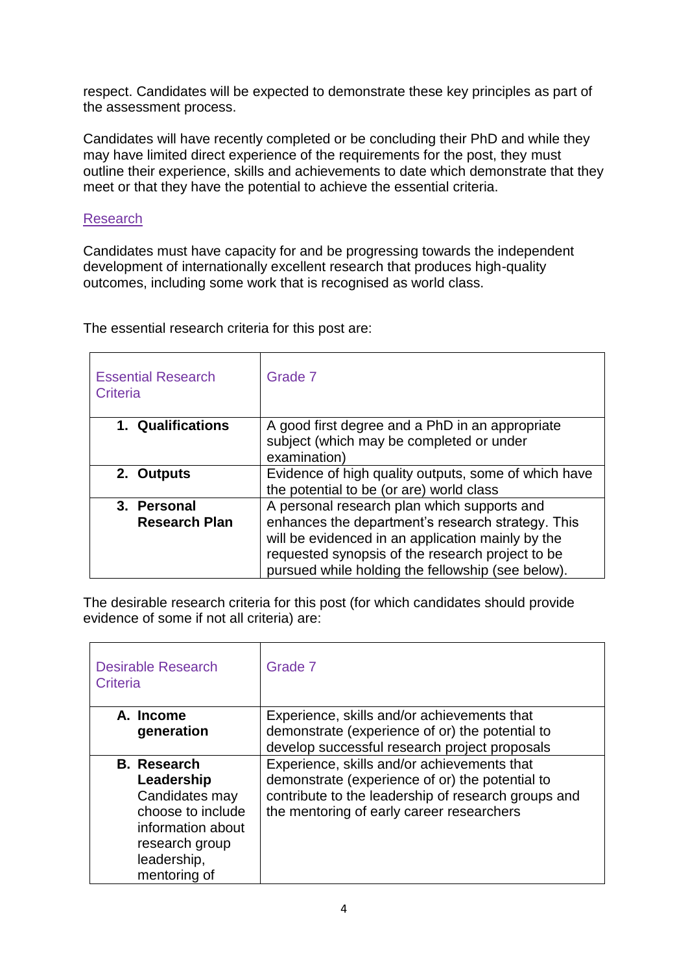respect. Candidates will be expected to demonstrate these key principles as part of the assessment process.

Candidates will have recently completed or be concluding their PhD and while they may have limited direct experience of the requirements for the post, they must outline their experience, skills and achievements to date which demonstrate that they meet or that they have the potential to achieve the essential criteria.

## Research

Candidates must have capacity for and be progressing towards the independent development of internationally excellent research that produces high-quality outcomes, including some work that is recognised as world class.

The essential research criteria for this post are:

| <b>Essential Research</b><br>Criteria | Grade 7                                              |
|---------------------------------------|------------------------------------------------------|
| 1. Qualifications                     | A good first degree and a PhD in an appropriate      |
|                                       | subject (which may be completed or under             |
|                                       | examination)                                         |
| 2. Outputs                            | Evidence of high quality outputs, some of which have |
|                                       | the potential to be (or are) world class             |
| 3. Personal                           | A personal research plan which supports and          |
| <b>Research Plan</b>                  | enhances the department's research strategy. This    |
|                                       | will be evidenced in an application mainly by the    |
|                                       | requested synopsis of the research project to be     |
|                                       | pursued while holding the fellowship (see below).    |

The desirable research criteria for this post (for which candidates should provide evidence of some if not all criteria) are:

| <b>Desirable Research</b><br>Criteria | Grade 7                                             |
|---------------------------------------|-----------------------------------------------------|
| A. Income                             | Experience, skills and/or achievements that         |
| generation                            | demonstrate (experience of or) the potential to     |
|                                       | develop successful research project proposals       |
| <b>B.</b> Research                    | Experience, skills and/or achievements that         |
| Leadership                            | demonstrate (experience of or) the potential to     |
| Candidates may                        | contribute to the leadership of research groups and |
| choose to include                     | the mentoring of early career researchers           |
| information about                     |                                                     |
| research group                        |                                                     |
| leadership,                           |                                                     |
| mentoring of                          |                                                     |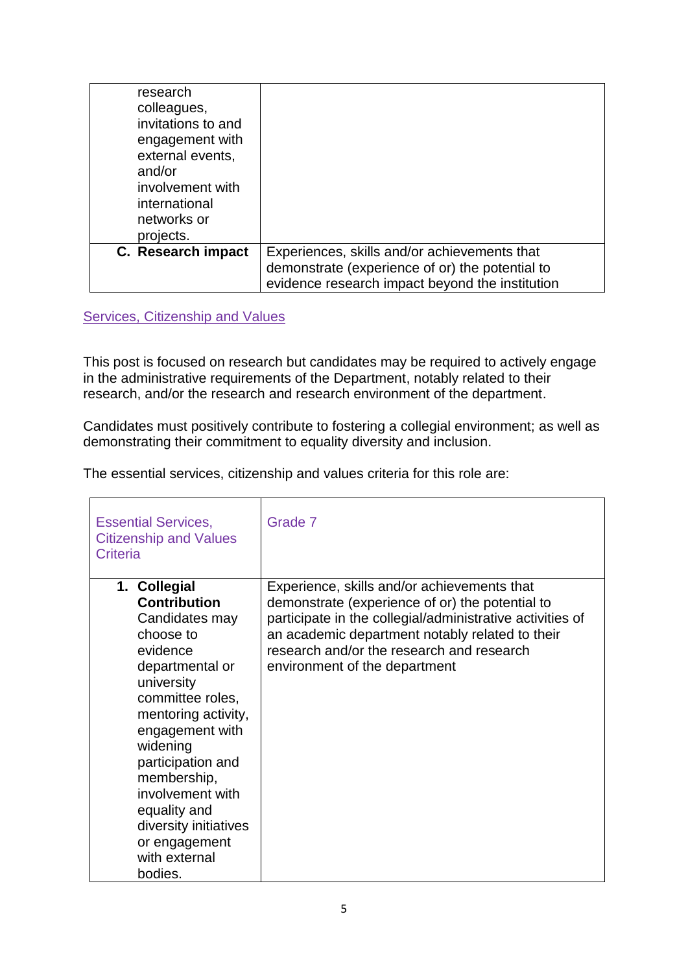| research<br>colleagues,<br>invitations to and<br>engagement with<br>external events,<br>and/or<br>involvement with<br>international<br>networks or<br>projects. |                                                                                                                                                    |
|-----------------------------------------------------------------------------------------------------------------------------------------------------------------|----------------------------------------------------------------------------------------------------------------------------------------------------|
| C. Research impact                                                                                                                                              | Experiences, skills and/or achievements that<br>demonstrate (experience of or) the potential to<br>evidence research impact beyond the institution |

Services, Citizenship and Values

This post is focused on research but candidates may be required to actively engage in the administrative requirements of the Department, notably related to their research, and/or the research and research environment of the department.

Candidates must positively contribute to fostering a collegial environment; as well as demonstrating their commitment to equality diversity and inclusion.

The essential services, citizenship and values criteria for this role are:

| <b>Essential Services,</b><br><b>Citizenship and Values</b><br>Criteria                                                                                                                                                                                                                                                                 | Grade 7                                                                                                                                                                                                                                                                                      |
|-----------------------------------------------------------------------------------------------------------------------------------------------------------------------------------------------------------------------------------------------------------------------------------------------------------------------------------------|----------------------------------------------------------------------------------------------------------------------------------------------------------------------------------------------------------------------------------------------------------------------------------------------|
| 1. Collegial<br><b>Contribution</b><br>Candidates may<br>choose to<br>evidence<br>departmental or<br>university<br>committee roles,<br>mentoring activity,<br>engagement with<br>widening<br>participation and<br>membership,<br>involvement with<br>equality and<br>diversity initiatives<br>or engagement<br>with external<br>bodies. | Experience, skills and/or achievements that<br>demonstrate (experience of or) the potential to<br>participate in the collegial/administrative activities of<br>an academic department notably related to their<br>research and/or the research and research<br>environment of the department |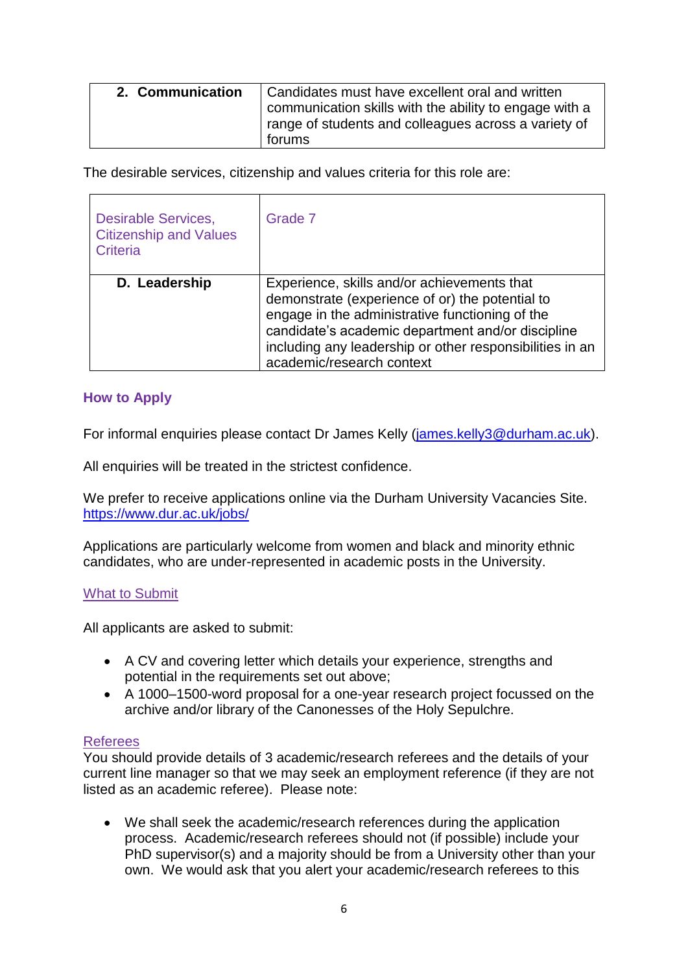| 2. Communication | Candidates must have excellent oral and written        |
|------------------|--------------------------------------------------------|
|                  | communication skills with the ability to engage with a |
|                  | range of students and colleagues across a variety of   |
|                  | forums                                                 |

The desirable services, citizenship and values criteria for this role are:

| <b>Desirable Services,</b><br><b>Citizenship and Values</b><br>Criteria | Grade 7                                                                                                                                                                                                                                                                                         |
|-------------------------------------------------------------------------|-------------------------------------------------------------------------------------------------------------------------------------------------------------------------------------------------------------------------------------------------------------------------------------------------|
| D. Leadership                                                           | Experience, skills and/or achievements that<br>demonstrate (experience of or) the potential to<br>engage in the administrative functioning of the<br>candidate's academic department and/or discipline<br>including any leadership or other responsibilities in an<br>academic/research context |

## **How to Apply**

For informal enquiries please contact Dr James Kelly [\(james.kelly3@durham.ac.uk\)](mailto:james.kelly3@durham.ac.uk).

All enquiries will be treated in the strictest confidence.

We prefer to receive applications online via the Durham University Vacancies Site. <https://www.dur.ac.uk/jobs/>

Applications are particularly welcome from women and black and minority ethnic candidates, who are under-represented in academic posts in the University.

#### What to Submit

All applicants are asked to submit:

- A CV and covering letter which details your experience, strengths and potential in the requirements set out above;
- A 1000–1500-word proposal for a one-year research project focussed on the archive and/or library of the Canonesses of the Holy Sepulchre.

## Referees

You should provide details of 3 academic/research referees and the details of your current line manager so that we may seek an employment reference (if they are not listed as an academic referee). Please note:

 We shall seek the academic/research references during the application process. Academic/research referees should not (if possible) include your PhD supervisor(s) and a majority should be from a University other than your own. We would ask that you alert your academic/research referees to this